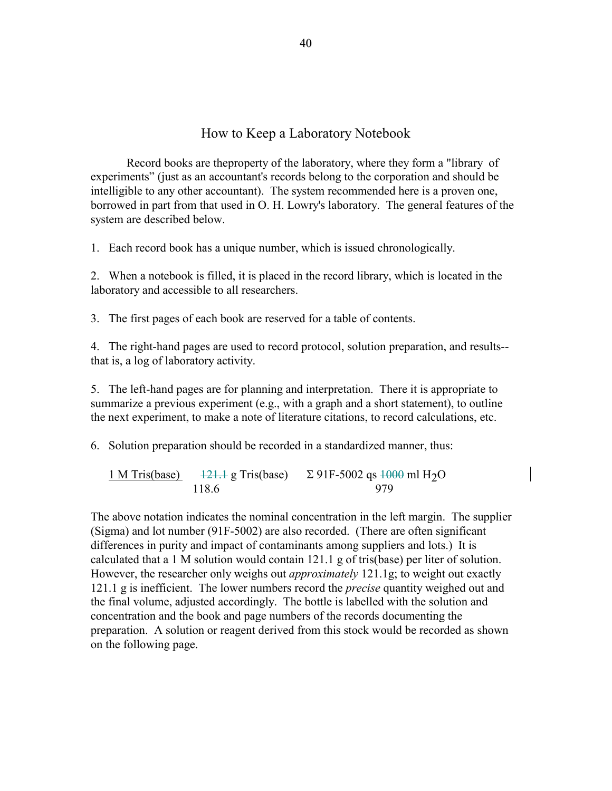## How to Keep a Laboratory Notebook

 Record books are theproperty of the laboratory, where they form a "library of experiments" (just as an accountant's records belong to the corporation and should be intelligible to any other accountant). The system recommended here is a proven one, borrowed in part from that used in O. H. Lowry's laboratory. The general features of the system are described below.

1. Each record book has a unique number, which is issued chronologically.

2. When a notebook is filled, it is placed in the record library, which is located in the laboratory and accessible to all researchers.

3. The first pages of each book are reserved for a table of contents.

4. The right-hand pages are used to record protocol, solution preparation, and results- that is, a log of laboratory activity.

5. The left-hand pages are for planning and interpretation. There it is appropriate to summarize a previous experiment (e.g., with a graph and a short statement), to outline the next experiment, to make a note of literature citations, to record calculations, etc.

6. Solution preparation should be recorded in a standardized manner, thus:

 $\frac{1 \text{ M Tris(base)}}{118.6}$   $\frac{121.1 \text{ g Tris(base)}}{979}$   $\frac{121.1 \text{ g Tris(base)}}{979}$   $\frac{121.1 \text{ g Tris(base)}}{979}$ 118.6 979

The above notation indicates the nominal concentration in the left margin. The supplier (Sigma) and lot number (91F-5002) are also recorded. (There are often significant differences in purity and impact of contaminants among suppliers and lots.) It is calculated that a 1 M solution would contain 121.1 g of tris(base) per liter of solution. However, the researcher only weighs out *approximately* 121.1g; to weight out exactly 121.1 g is inefficient. The lower numbers record the *precise* quantity weighed out and the final volume, adjusted accordingly. The bottle is labelled with the solution and concentration and the book and page numbers of the records documenting the preparation. A solution or reagent derived from this stock would be recorded as shown on the following page.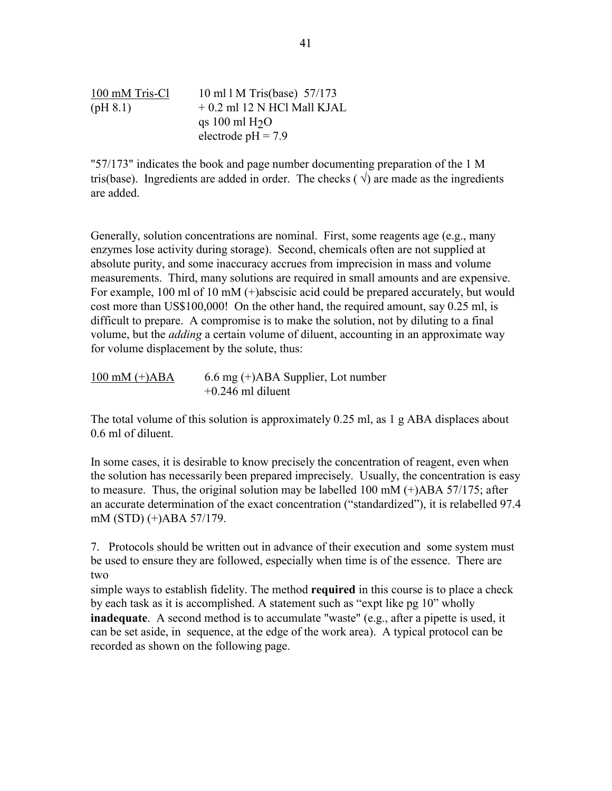100 mM Tris-Cl 10 ml l M Tris(base) 57/173  $(pH 8.1)$  + 0.2 ml 12 N HCl Mall KJAL qs 100 ml  $H<sub>2</sub>O$ electrode  $pH = 7.9$ 

"57/173" indicates the book and page number documenting preparation of the 1 M tris(base). Ingredients are added in order. The checks ( $\sqrt{ }$ ) are made as the ingredients are added.

Generally, solution concentrations are nominal. First, some reagents age (e.g., many enzymes lose activity during storage). Second, chemicals often are not supplied at absolute purity, and some inaccuracy accrues from imprecision in mass and volume measurements. Third, many solutions are required in small amounts and are expensive. For example, 100 ml of 10 mM (+)abscisic acid could be prepared accurately, but would cost more than US\$100,000! On the other hand, the required amount, say 0.25 ml, is difficult to prepare. A compromise is to make the solution, not by diluting to a final volume, but the *adding* a certain volume of diluent, accounting in an approximate way for volume displacement by the solute, thus:

 $100 \text{ mM } (+)$ ABA 6.6 mg  $(+)$ ABA Supplier, Lot number  $+0.246$  ml diluent

The total volume of this solution is approximately 0.25 ml, as 1 g ABA displaces about 0.6 ml of diluent.

In some cases, it is desirable to know precisely the concentration of reagent, even when the solution has necessarily been prepared imprecisely. Usually, the concentration is easy to measure. Thus, the original solution may be labelled  $100 \text{ mM } (+)$ ABA  $57/175$ ; after an accurate determination of the exact concentration ("standardized"), it is relabelled 97.4 mM (STD) (+)ABA 57/179.

7. Protocols should be written out in advance of their execution and some system must be used to ensure they are followed, especially when time is of the essence. There are two

simple ways to establish fidelity. The method **required** in this course is to place a check by each task as it is accomplished. A statement such as "expt like pg 10" wholly **inadequate**. A second method is to accumulate "waste" (e.g., after a pipette is used, it can be set aside, in sequence, at the edge of the work area). A typical protocol can be recorded as shown on the following page.